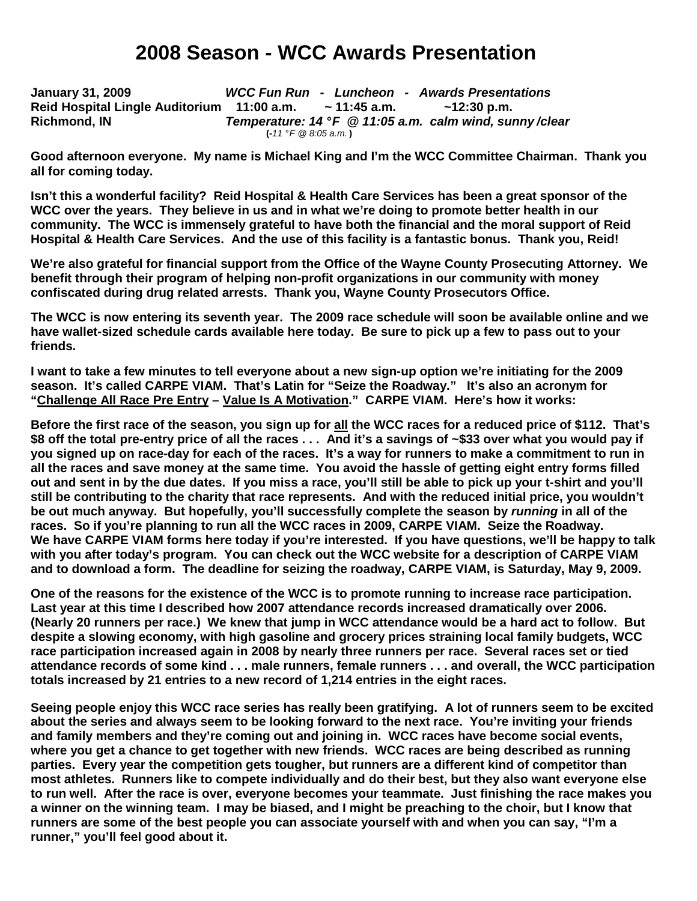# **2008 Season - WCC Awards Presentation**

**January 31, 2009 WCC Fun Run - Luncheon - Awards Presentations Reid Hospital Lingle Auditorium 11:00 a.m. ~ 11:45 a.m. ~12:30 p.m. Richmond, IN Temperature: 14 ° F @ 11:05 a.m. calm wind, sunny/clear**   $(-11 \degree F \ @ \ 8.05 \ a.m.)$ 

**Good afternoon everyone. My name is Michael King and I'm the WCC Committee Chairman. Thank you all for coming today.** 

**Isn't this a wonderful facility? Reid Hospital & Health Care Services has been a great sponsor of the WCC over the years. They believe in us and in what we're doing to promote better health in our community. The WCC is immensely grateful to have both the financial and the moral support of Reid Hospital & Health Care Services. And the use of this facility is a fantastic bonus. Thank you, Reid!**

**We're also grateful for financial support from the Office of the Wayne County Prosecuting Attorney. We benefit through their program of helping non-profit organizations in our community with money confiscated during drug related arrests. Thank you, Wayne County Prosecutors Office.** 

**The WCC is now entering its seventh year. The 2009 race schedule will soon be available online and we have wallet-sized schedule cards available here today. Be sure to pick up a few to pass out to your friends.** 

**I want to take a few minutes to tell everyone about a new sign-up option we're initiating for the 2009 season. It's called CARPE VIAM. That's Latin for "Seize the Roadway." It's also an acronym for "Challenge All Race Pre Entry – Value Is A Motivation." CARPE VIAM. Here's how it works:** 

**Before the first race of the season, you sign up for all the WCC races for a reduced price of \$112. That's \$8 off the total pre-entry price of all the races . . . And it's a savings of ~\$33 over what you would pay if you signed up on race-day for each of the races. It's a way for runners to make a commitment to run in all the races and save money at the same time. You avoid the hassle of getting eight entry forms filled out and sent in by the due dates. If you miss a race, you'll still be able to pick up your t-shirt and you'll still be contributing to the charity that race represents. And with the reduced initial price, you wouldn't be out much anyway. But hopefully, you'll successfully complete the season by running in all of the races. So if you're planning to run all the WCC races in 2009, CARPE VIAM. Seize the Roadway.**  We have CARPE VIAM forms here today if you're interested. If you have questions, we'll be happy to talk **with you after today's program. You can check out the WCC website for a description of CARPE VIAM and to download a form. The deadline for seizing the roadway, CARPE VIAM, is Saturday, May 9, 2009.** 

**One of the reasons for the existence of the WCC is to promote running to increase race participation. Last year at this time I described how 2007 attendance records increased dramatically over 2006. (Nearly 20 runners per race.) We knew that jump in WCC attendance would be a hard act to follow. But despite a slowing economy, with high gasoline and grocery prices straining local family budgets, WCC race participation increased again in 2008 by nearly three runners per race. Several races set or tied attendance records of some kind . . . male runners, female runners . . . and overall, the WCC participation totals increased by 21 entries to a new record of 1,214 entries in the eight races.** 

**Seeing people enjoy this WCC race series has really been gratifying. A lot of runners seem to be excited about the series and always seem to be looking forward to the next race. You're inviting your friends and family members and they're coming out and joining in. WCC races have become social events, where you get a chance to get together with new friends. WCC races are being described as running parties. Every year the competition gets tougher, but runners are a different kind of competitor than most athletes. Runners like to compete individually and do their best, but they also want everyone else to run well. After the race is over, everyone becomes your teammate. Just finishing the race makes you a winner on the winning team. I may be biased, and I might be preaching to the choir, but I know that runners are some of the best people you can associate yourself with and when you can say, "I'm a runner," you'll feel good about it.**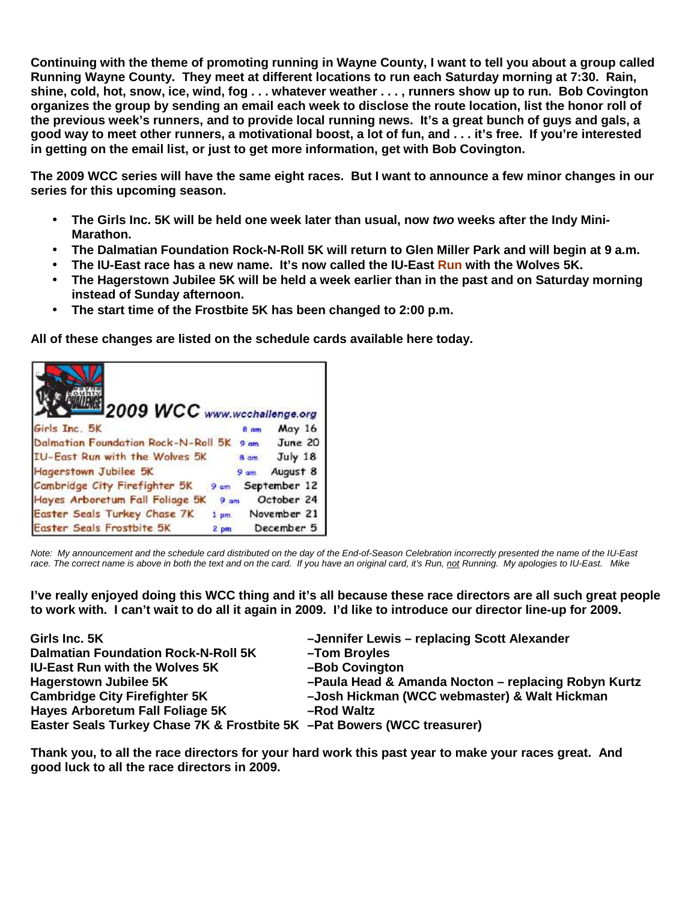**Continuing with the theme of promoting running in Wayne County, I want to tell you about a group called Running Wayne County. They meet at different locations to run each Saturday morning at 7:30. Rain, shine, cold, hot, snow, ice, wind, fog . . . whatever weather . . . , runners show up to run. Bob Covington organizes the group by sending an email each week to disclose the route location, list the honor roll of the previous week's runners, and to provide local running news. It's a great bunch of guys and gals, a good way to meet other runners, a motivational boost, a lot of fun, and . . . it's free. If you're interested in getting on the email list, or just to get more information, get with Bob Covington.** 

**The 2009 WCC series will have the same eight races. But I want to announce a few minor changes in our series for this upcoming season.** 

- **The Girls Inc. 5K will be held one week later than usual, now two weeks after the Indy Mini-Marathon.**
- **The Dalmatian Foundation Rock-N-Roll 5K will return to Glen Miller Park and will begin at 9 a.m.**
- **The IU-East race has a new name. It's now called the IU-East Run with the Wolves 5K.**
- **The Hagerstown Jubilee 5K will be held a week earlier than in the past and on Saturday morning instead of Sunday afternoon.**
- **The start time of the Frostbite 5K has been changed to 2:00 p.m.**

**All of these changes are listed on the schedule cards available here today.** 



Note: My announcement and the schedule card distributed on the day of the End-of-Season Celebration incorrectly presented the name of the IU-East race. The correct name is above in both the text and on the card. If you have an original card, it's Run, not Running. My apologies to IU-East. Mike

**I've really enjoyed doing this WCC thing and it's all because these race directors are all such great people to work with. I can't wait to do all it again in 2009. I'd like to introduce our director line-up for 2009.** 

| Girls Inc. 5K                                                           | -Jennifer Lewis - replacing Scott Alexander         |
|-------------------------------------------------------------------------|-----------------------------------------------------|
| <b>Dalmatian Foundation Rock-N-Roll 5K</b>                              | -Tom Broyles                                        |
| <b>IU-East Run with the Wolves 5K</b>                                   | -Bob Covington                                      |
| <b>Hagerstown Jubilee 5K</b>                                            | -Paula Head & Amanda Nocton - replacing Robyn Kurtz |
| <b>Cambridge City Firefighter 5K</b>                                    | -Josh Hickman (WCC webmaster) & Walt Hickman        |
| Hayes Arboretum Fall Foliage 5K                                         | -Rod Waltz                                          |
| Easter Seals Turkey Chase 7K & Frostbite 5K -Pat Bowers (WCC treasurer) |                                                     |

**Thank you, to all the race directors for your hard work this past year to make your races great. And good luck to all the race directors in 2009.**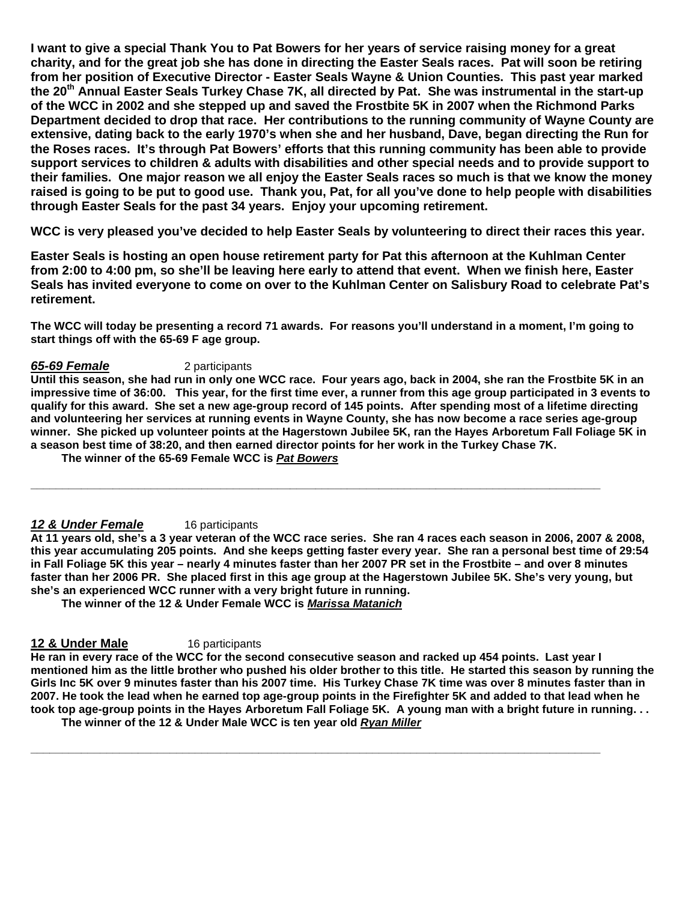**I want to give a special Thank You to Pat Bowers for her years of service raising money for a great charity, and for the great job she has done in directing the Easter Seals races. Pat will soon be retiring from her position of Executive Director - Easter Seals Wayne & Union Counties. This past year marked the 20th Annual Easter Seals Turkey Chase 7K, all directed by Pat. She was instrumental in the start-up of the WCC in 2002 and she stepped up and saved the Frostbite 5K in 2007 when the Richmond Parks Department decided to drop that race. Her contributions to the running community of Wayne County are extensive, dating back to the early 1970's when she and her husband, Dave, began directing the Run for the Roses races. It's through Pat Bowers' efforts that this running community has been able to provide support services to children & adults with disabilities and other special needs and to provide support to their families. One major reason we all enjoy the Easter Seals races so much is that we know the money raised is going to be put to good use. Thank you, Pat, for all you've done to help people with disabilities through Easter Seals for the past 34 years. Enjoy your upcoming retirement.** 

**WCC is very pleased you've decided to help Easter Seals by volunteering to direct their races this year.** 

**Easter Seals is hosting an open house retirement party for Pat this afternoon at the Kuhlman Center from 2:00 to 4:00 pm, so she'll be leaving here early to attend that event. When we finish here, Easter Seals has invited everyone to come on over to the Kuhlman Center on Salisbury Road to celebrate Pat's retirement.**

**The WCC will today be presenting a record 71 awards. For reasons you'll understand in a moment, I'm going to start things off with the 65-69 F age group.** 

### **65-69 Female** 2 participants

**Until this season, she had run in only one WCC race. Four years ago, back in 2004, she ran the Frostbite 5K in an impressive time of 36:00. This year, for the first time ever, a runner from this age group participated in 3 events to qualify for this award. She set a new age-group record of 145 points. After spending most of a lifetime directing and volunteering her services at running events in Wayne County, she has now become a race series age-group winner. She picked up volunteer points at the Hagerstown Jubilee 5K, ran the Hayes Arboretum Fall Foliage 5K in a season best time of 38:20, and then earned director points for her work in the Turkey Chase 7K.** 

**\_\_\_\_\_\_\_\_\_\_\_\_\_\_\_\_\_\_\_\_\_\_\_\_\_\_\_\_\_\_\_\_\_\_\_\_\_\_\_\_\_\_\_\_\_\_\_\_\_\_\_\_\_\_\_\_\_\_\_\_\_\_\_\_\_\_\_\_\_\_\_\_\_\_\_\_\_\_\_\_\_\_\_\_\_\_\_\_\_\_** 

 **The winner of the 65-69 Female WCC is Pat Bowers**

# 12 & Under Female 16 participants

**At 11 years old, she's a 3 year veteran of the WCC race series. She ran 4 races each season in 2006, 2007 & 2008, this year accumulating 205 points. And she keeps getting faster every year. She ran a personal best time of 29:54 in Fall Foliage 5K this year – nearly 4 minutes faster than her 2007 PR set in the Frostbite – and over 8 minutes faster than her 2006 PR. She placed first in this age group at the Hagerstown Jubilee 5K. She's very young, but she's an experienced WCC runner with a very bright future in running.** 

 **The winner of the 12 & Under Female WCC is Marissa Matanich**

# **12 & Under Male 16 participants**

**He ran in every race of the WCC for the second consecutive season and racked up 454 points. Last year I mentioned him as the little brother who pushed his older brother to this title. He started this season by running the Girls Inc 5K over 9 minutes faster than his 2007 time. His Turkey Chase 7K time was over 8 minutes faster than in 2007. He took the lead when he earned top age-group points in the Firefighter 5K and added to that lead when he took top age-group points in the Hayes Arboretum Fall Foliage 5K. A young man with a bright future in running. . .** 

**\_\_\_\_\_\_\_\_\_\_\_\_\_\_\_\_\_\_\_\_\_\_\_\_\_\_\_\_\_\_\_\_\_\_\_\_\_\_\_\_\_\_\_\_\_\_\_\_\_\_\_\_\_\_\_\_\_\_\_\_\_\_\_\_\_\_\_\_\_\_\_\_\_\_\_\_\_\_\_\_\_\_\_\_\_\_\_\_\_\_** 

 **The winner of the 12 & Under Male WCC is ten year old Ryan Miller**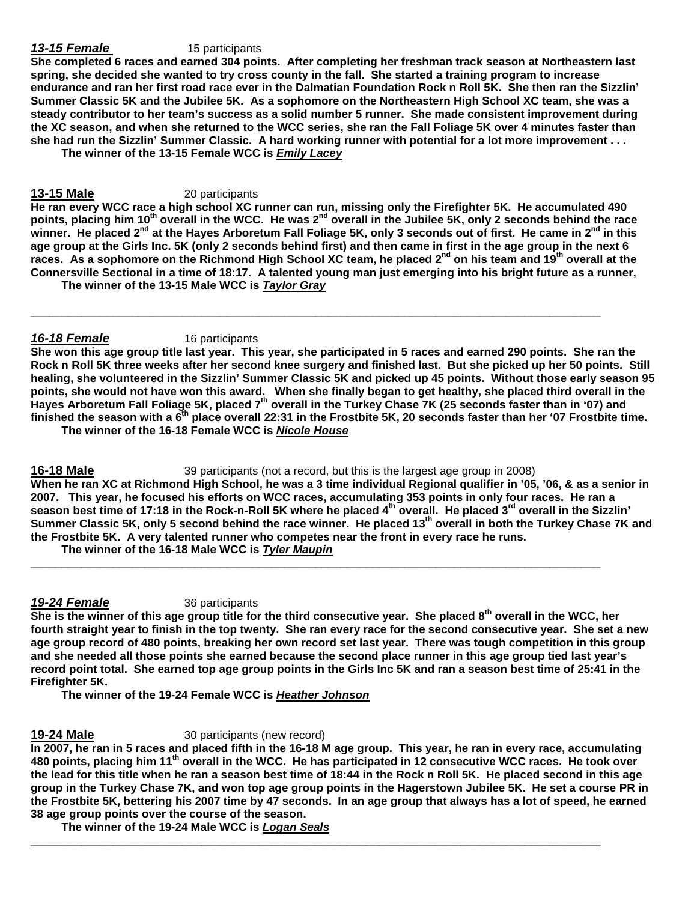### **13-15 Female** 15 participants

**She completed 6 races and earned 304 points. After completing her freshman track season at Northeastern last spring, she decided she wanted to try cross county in the fall. She started a training program to increase endurance and ran her first road race ever in the Dalmatian Foundation Rock n Roll 5K. She then ran the Sizzlin' Summer Classic 5K and the Jubilee 5K. As a sophomore on the Northeastern High School XC team, she was a steady contributor to her team's success as a solid number 5 runner. She made consistent improvement during the XC season, and when she returned to the WCC series, she ran the Fall Foliage 5K over 4 minutes faster than she had run the Sizzlin' Summer Classic. A hard working runner with potential for a lot more improvement . . . The winner of the 13-15 Female WCC is Emily Lacey**

# 13-15 Male 20 participants

**He ran every WCC race a high school XC runner can run, missing only the Firefighter 5K. He accumulated 490 points, placing him 10th overall in the WCC. He was 2nd overall in the Jubilee 5K, only 2 seconds behind the race winner. He placed 2nd at the Hayes Arboretum Fall Foliage 5K, only 3 seconds out of first. He came in 2nd in this age group at the Girls Inc. 5K (only 2 seconds behind first) and then came in first in the age group in the next 6 races. As a sophomore on the Richmond High School XC team, he placed 2nd on his team and 19th overall at the Connersville Sectional in a time of 18:17. A talented young man just emerging into his bright future as a runner,** 

**\_\_\_\_\_\_\_\_\_\_\_\_\_\_\_\_\_\_\_\_\_\_\_\_\_\_\_\_\_\_\_\_\_\_\_\_\_\_\_\_\_\_\_\_\_\_\_\_\_\_\_\_\_\_\_\_\_\_\_\_\_\_\_\_\_\_\_\_\_\_\_\_\_\_\_\_\_\_\_\_\_\_\_\_\_\_\_\_\_\_** 

 **The winner of the 13-15 Male WCC is Taylor Gray**

### **16-18 Female** 16 participants

**She won this age group title last year. This year, she participated in 5 races and earned 290 points. She ran the Rock n Roll 5K three weeks after her second knee surgery and finished last. But she picked up her 50 points. Still healing, she volunteered in the Sizzlin' Summer Classic 5K and picked up 45 points. Without those early season 95 points, she would not have won this award. When she finally began to get healthy, she placed third overall in the Hayes Arboretum Fall Foliage 5K, placed 7th overall in the Turkey Chase 7K (25 seconds faster than in '07) and finished the season with a 6th place overall 22:31 in the Frostbite 5K, 20 seconds faster than her '07 Frostbite time. The winner of the 16-18 Female WCC is Nicole House** 

**16-18 Male** 39 participants (not a record, but this is the largest age group in 2008) **When he ran XC at Richmond High School, he was a 3 time individual Regional qualifier in '05, '06, & as a senior in 2007. This year, he focused his efforts on WCC races, accumulating 353 points in only four races. He ran a season best time of 17:18 in the Rock-n-Roll 5K where he placed 4th overall. He placed 3rd overall in the Sizzlin' Summer Classic 5K, only 5 second behind the race winner. He placed 13th overall in both the Turkey Chase 7K and the Frostbite 5K. A very talented runner who competes near the front in every race he runs.** 

**\_\_\_\_\_\_\_\_\_\_\_\_\_\_\_\_\_\_\_\_\_\_\_\_\_\_\_\_\_\_\_\_\_\_\_\_\_\_\_\_\_\_\_\_\_\_\_\_\_\_\_\_\_\_\_\_\_\_\_\_\_\_\_\_\_\_\_\_\_\_\_\_\_\_\_\_\_\_\_\_\_\_\_\_\_\_\_\_\_\_** 

 **The winner of the 16-18 Male WCC is Tyler Maupin** 

### **19-24 Female** 36 participants

**She is the winner of this age group title for the third consecutive year. She placed 8th overall in the WCC, her fourth straight year to finish in the top twenty. She ran every race for the second consecutive year. She set a new age group record of 480 points, breaking her own record set last year. There was tough competition in this group and she needed all those points she earned because the second place runner in this age group tied last year's record point total. She earned top age group points in the Girls Inc 5K and ran a season best time of 25:41 in the Firefighter 5K.** 

 **The winner of the 19-24 Female WCC is Heather Johnson** 

# **19-24 Male** 30 participants (new record)

**In 2007, he ran in 5 races and placed fifth in the 16-18 M age group. This year, he ran in every race, accumulating 480 points, placing him 11th overall in the WCC. He has participated in 12 consecutive WCC races. He took over the lead for this title when he ran a season best time of 18:44 in the Rock n Roll 5K. He placed second in this age group in the Turkey Chase 7K, and won top age group points in the Hagerstown Jubilee 5K. He set a course PR in the Frostbite 5K, bettering his 2007 time by 47 seconds. In an age group that always has a lot of speed, he earned 38 age group points over the course of the season.** 

\_\_\_\_\_\_\_\_\_\_\_\_\_\_\_\_\_\_\_\_\_\_\_\_\_\_\_\_\_\_\_\_\_\_\_\_\_\_\_\_\_\_\_\_\_\_\_\_\_\_\_\_\_\_\_\_\_\_\_\_\_\_\_\_\_\_\_\_\_\_\_\_\_\_\_\_\_\_\_\_\_\_\_\_\_\_\_\_\_\_

 **The winner of the 19-24 Male WCC is Logan Seals**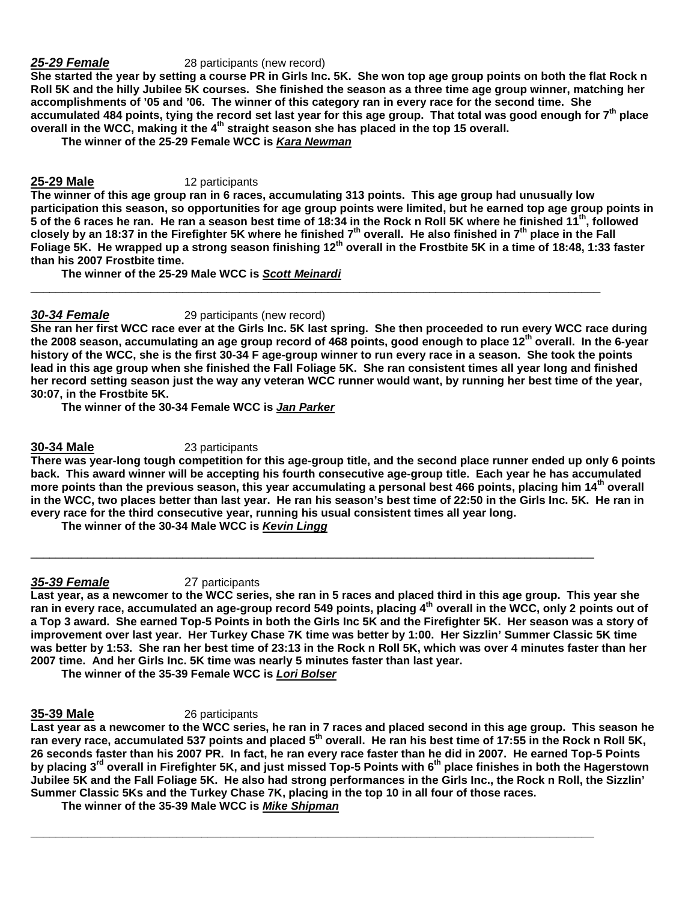### **25-29 Female** 28 participants (new record)

**She started the year by setting a course PR in Girls Inc. 5K. She won top age group points on both the flat Rock n Roll 5K and the hilly Jubilee 5K courses. She finished the season as a three time age group winner, matching her accomplishments of '05 and '06. The winner of this category ran in every race for the second time. She accumulated 484 points, tying the record set last year for this age group. That total was good enough for 7th place overall in the WCC, making it the 4th straight season she has placed in the top 15 overall.** 

 **The winner of the 25-29 Female WCC is Kara Newman**

# **25-29 Male** 12 participants

**The winner of this age group ran in 6 races, accumulating 313 points. This age group had unusually low participation this season, so opportunities for age group points were limited, but he earned top age group points in 5 of the 6 races he ran. He ran a season best time of 18:34 in the Rock n Roll 5K where he finished 11 th, followed closely by an 18:37 in the Firefighter 5K where he finished 7th overall. He also finished in 7th place in the Fall Foliage 5K. He wrapped up a strong season finishing 12th overall in the Frostbite 5K in a time of 18:48, 1:33 faster than his 2007 Frostbite time.** 

\_\_\_\_\_\_\_\_\_\_\_\_\_\_\_\_\_\_\_\_\_\_\_\_\_\_\_\_\_\_\_\_\_\_\_\_\_\_\_\_\_\_\_\_\_\_\_\_\_\_\_\_\_\_\_\_\_\_\_\_\_\_\_\_\_\_\_\_\_\_\_\_\_\_\_\_\_\_\_\_\_\_\_\_\_\_\_\_\_\_

 **The winner of the 25-29 Male WCC is Scott Meinardi** 

# **30-34 Female** 29 participants (new record)

**She ran her first WCC race ever at the Girls Inc. 5K last spring. She then proceeded to run every WCC race during the 2008 season, accumulating an age group record of 468 points, good enough to place 12th overall. In the 6-year history of the WCC, she is the first 30-34 F age-group winner to run every race in a season. She took the points lead in this age group when she finished the Fall Foliage 5K. She ran consistent times all year long and finished her record setting season just the way any veteran WCC runner would want, by running her best time of the year, 30:07, in the Frostbite 5K.** 

 **The winner of the 30-34 Female WCC is Jan Parker** 

### **30-34 Male** 23 participants

**There was year-long tough competition for this age-group title, and the second place runner ended up only 6 points back. This award winner will be accepting his fourth consecutive age-group title. Each year he has accumulated more points than the previous season, this year accumulating a personal best 466 points, placing him 14 th overall in the WCC, two places better than last year. He ran his season's best time of 22:50 in the Girls Inc. 5K. He ran in every race for the third consecutive year, running his usual consistent times all year long.** 

 **The winner of the 30-34 Male WCC is Kevin Lingg**

# **35-39 Female** 27 participants

**Last year, as a newcomer to the WCC series, she ran in 5 races and placed third in this age group. This year she ran in every race, accumulated an age-group record 549 points, placing 4th overall in the WCC, only 2 points out of a Top 3 award. She earned Top-5 Points in both the Girls Inc 5K and the Firefighter 5K. Her season was a story of improvement over last year. Her Turkey Chase 7K time was better by 1:00. Her Sizzlin' Summer Classic 5K time was better by 1:53. She ran her best time of 23:13 in the Rock n Roll 5K, which was over 4 minutes faster than her 2007 time. And her Girls Inc. 5K time was nearly 5 minutes faster than last year.** 

\_\_\_\_\_\_\_\_\_\_\_\_\_\_\_\_\_\_\_\_\_\_\_\_\_\_\_\_\_\_\_\_\_\_\_\_\_\_\_\_\_\_\_\_\_\_\_\_\_\_\_\_\_\_\_\_\_\_\_\_\_\_\_\_\_\_\_\_\_\_\_\_\_\_\_\_\_\_\_\_\_\_\_\_\_\_\_\_\_

 **The winner of the 35-39 Female WCC is Lori Bolser** 

### **35-39 Male** 26 participants

**Last year as a newcomer to the WCC series, he ran in 7 races and placed second in this age group. This season he ran every race, accumulated 537 points and placed 5th overall. He ran his best time of 17:55 in the Rock n Roll 5K, 26 seconds faster than his 2007 PR. In fact, he ran every race faster than he did in 2007. He earned Top-5 Points by placing 3rd overall in Firefighter 5K, and just missed Top-5 Points with 6th place finishes in both the Hagerstown Jubilee 5K and the Fall Foliage 5K. He also had strong performances in the Girls Inc., the Rock n Roll, the Sizzlin' Summer Classic 5Ks and the Turkey Chase 7K, placing in the top 10 in all four of those races.** 

**\_\_\_\_\_\_\_\_\_\_\_\_\_\_\_\_\_\_\_\_\_\_\_\_\_\_\_\_\_\_\_\_\_\_\_\_\_\_\_\_\_\_\_\_\_\_\_\_\_\_\_\_\_\_\_\_\_\_\_\_\_\_\_\_\_\_\_\_\_\_\_\_\_\_\_\_\_\_\_\_\_\_\_\_\_\_\_\_\_** 

 **The winner of the 35-39 Male WCC is Mike Shipman**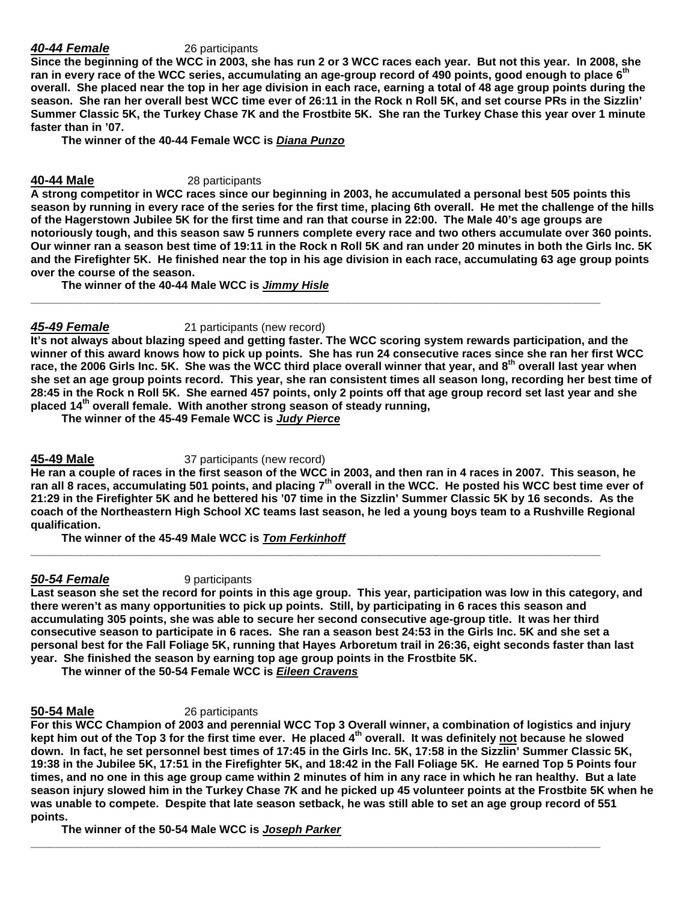# **40-44 Female** 26 participants

**Since the beginning of the WCC in 2003, she has run 2 or 3 WCC races each year. But not this year. In 2008, she ran in every race of the WCC series, accumulating an age-group record of 490 points, good enough to place 6th overall. She placed near the top in her age division in each race, earning a total of 48 age group points during the season. She ran her overall best WCC time ever of 26:11 in the Rock n Roll 5K, and set course PRs in the Sizzlin' Summer Classic 5K, the Turkey Chase 7K and the Frostbite 5K. She ran the Turkey Chase this year over 1 minute faster than in '07.** 

 **The winner of the 40-44 Female WCC is Diana Punzo** 

# **40-44 Male** 28 participants

**A strong competitor in WCC races since our beginning in 2003, he accumulated a personal best 505 points this season by running in every race of the series for the first time, placing 6th overall. He met the challenge of the hills of the Hagerstown Jubilee 5K for the first time and ran that course in 22:00. The Male 40's age groups are notoriously tough, and this season saw 5 runners complete every race and two others accumulate over 360 points. Our winner ran a season best time of 19:11 in the Rock n Roll 5K and ran under 20 minutes in both the Girls Inc. 5K and the Firefighter 5K. He finished near the top in his age division in each race, accumulating 63 age group points over the course of the season.** 

**\_\_\_\_\_\_\_\_\_\_\_\_\_\_\_\_\_\_\_\_\_\_\_\_\_\_\_\_\_\_\_\_\_\_\_\_\_\_\_\_\_\_\_\_\_\_\_\_\_\_\_\_\_\_\_\_\_\_\_\_\_\_\_\_\_\_\_\_\_\_\_\_\_\_\_\_\_\_\_\_\_\_\_\_\_\_\_\_\_\_** 

 **The winner of the 40-44 Male WCC is Jimmy Hisle**

# **45-49 Female** 21 participants (new record)

**It's not always about blazing speed and getting faster. The WCC scoring system rewards participation, and the winner of this award knows how to pick up points. She has run 24 consecutive races since she ran her first WCC race, the 2006 Girls Inc. 5K. She was the WCC third place overall winner that year, and 8th overall last year when she set an age group points record. This year, she ran consistent times all season long, recording her best time of 28:45 in the Rock n Roll 5K. She earned 457 points, only 2 points off that age group record set last year and she placed 14th overall female. With another strong season of steady running,** 

 **The winner of the 45-49 Female WCC is Judy Pierce** 

### **45-49 Male** 37 participants (new record)

**He ran a couple of races in the first season of the WCC in 2003, and then ran in 4 races in 2007. This season, he ran all 8 races, accumulating 501 points, and placing 7th overall in the WCC. He posted his WCC best time ever of 21:29 in the Firefighter 5K and he bettered his '07 time in the Sizzlin' Summer Classic 5K by 16 seconds. As the coach of the Northeastern High School XC teams last season, he led a young boys team to a Rushville Regional qualification.** 

**\_\_\_\_\_\_\_\_\_\_\_\_\_\_\_\_\_\_\_\_\_\_\_\_\_\_\_\_\_\_\_\_\_\_\_\_\_\_\_\_\_\_\_\_\_\_\_\_\_\_\_\_\_\_\_\_\_\_\_\_\_\_\_\_\_\_\_\_\_\_\_\_\_\_\_\_\_\_\_\_\_\_\_\_\_\_\_\_\_\_** 

 **The winner of the 45-49 Male WCC is Tom Ferkinhoff**

**50-54 Female** 9 participants

**Last season she set the record for points in this age group. This year, participation was low in this category, and there weren't as many opportunities to pick up points. Still, by participating in 6 races this season and accumulating 305 points, she was able to secure her second consecutive age-group title. It was her third consecutive season to participate in 6 races. She ran a season best 24:53 in the Girls Inc. 5K and she set a personal best for the Fall Foliage 5K, running that Hayes Arboretum trail in 26:36, eight seconds faster than last year. She finished the season by earning top age group points in the Frostbite 5K.** 

 **The winner of the 50-54 Female WCC is Eileen Cravens**

**50-54 Male** 26 participants

**For this WCC Champion of 2003 and perennial WCC Top 3 Overall winner, a combination of logistics and injury kept him out of the Top 3 for the first time ever. He placed 4th overall. It was definitely not because he slowed down. In fact, he set personnel best times of 17:45 in the Girls Inc. 5K, 17:58 in the Sizzlin' Summer Classic 5K, 19:38 in the Jubilee 5K, 17:51 in the Firefighter 5K, and 18:42 in the Fall Foliage 5K. He earned Top 5 Points four times, and no one in this age group came within 2 minutes of him in any race in which he ran healthy. But a late season injury slowed him in the Turkey Chase 7K and he picked up 45 volunteer points at the Frostbite 5K when he was unable to compete. Despite that late season setback, he was still able to set an age group record of 551 points.** 

**\_\_\_\_\_\_\_\_\_\_\_\_\_\_\_\_\_\_\_\_\_\_\_\_\_\_\_\_\_\_\_\_\_\_\_\_\_\_\_\_\_\_\_\_\_\_\_\_\_\_\_\_\_\_\_\_\_\_\_\_\_\_\_\_\_\_\_\_\_\_\_\_\_\_\_\_\_\_\_\_\_\_\_\_\_\_\_\_\_\_** 

 **The winner of the 50-54 Male WCC is Joseph Parker**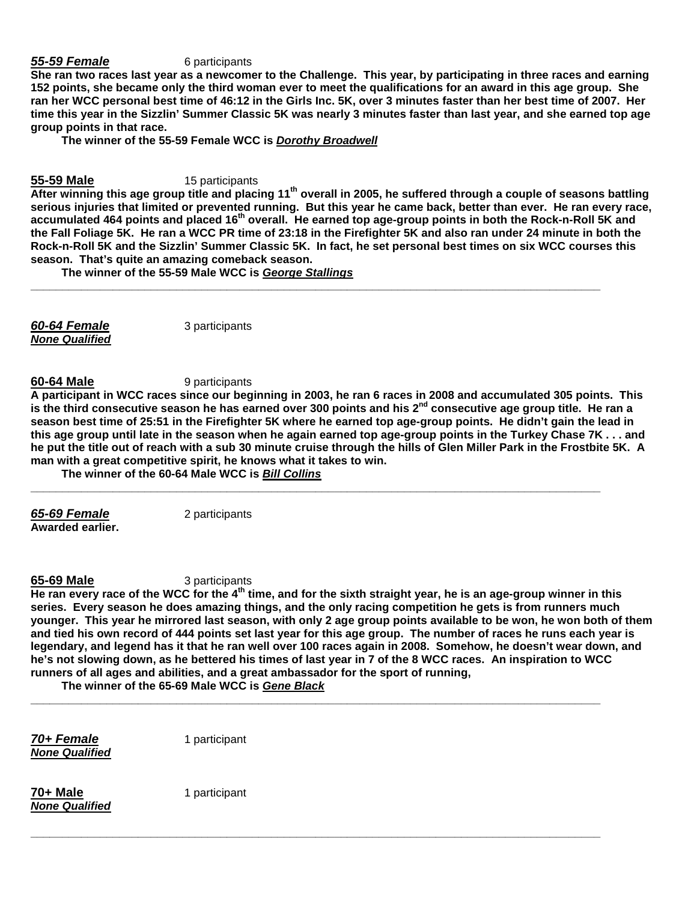### **55-59 Female** 6 participants

**She ran two races last year as a newcomer to the Challenge. This year, by participating in three races and earning 152 points, she became only the third woman ever to meet the qualifications for an award in this age group. She ran her WCC personal best time of 46:12 in the Girls Inc. 5K, over 3 minutes faster than her best time of 2007. Her time this year in the Sizzlin' Summer Classic 5K was nearly 3 minutes faster than last year, and she earned top age group points in that race.** 

 **The winner of the 55-59 Female WCC is Dorothy Broadwell**

### **55-59 Male** 15 participants

**After winning this age group title and placing 11th overall in 2005, he suffered through a couple of seasons battling serious injuries that limited or prevented running. But this year he came back, better than ever. He ran every race, accumulated 464 points and placed 16th overall. He earned top age-group points in both the Rock-n-Roll 5K and the Fall Foliage 5K. He ran a WCC PR time of 23:18 in the Firefighter 5K and also ran under 24 minute in both the Rock-n-Roll 5K and the Sizzlin' Summer Classic 5K. In fact, he set personal best times on six WCC courses this season. That's quite an amazing comeback season.** 

**\_\_\_\_\_\_\_\_\_\_\_\_\_\_\_\_\_\_\_\_\_\_\_\_\_\_\_\_\_\_\_\_\_\_\_\_\_\_\_\_\_\_\_\_\_\_\_\_\_\_\_\_\_\_\_\_\_\_\_\_\_\_\_\_\_\_\_\_\_\_\_\_\_\_\_\_\_\_\_\_\_\_\_\_\_\_\_\_\_\_** 

 **The winner of the 55-59 Male WCC is George Stallings** 

**60-64 Female** 3 participants **None Qualified**

**60-64 Male** 9 participants

**A participant in WCC races since our beginning in 2003, he ran 6 races in 2008 and accumulated 305 points. This is the third consecutive season he has earned over 300 points and his 2nd consecutive age group title. He ran a season best time of 25:51 in the Firefighter 5K where he earned top age-group points. He didn't gain the lead in this age group until late in the season when he again earned top age-group points in the Turkey Chase 7K . . . and he put the title out of reach with a sub 30 minute cruise through the hills of Glen Miller Park in the Frostbite 5K. A man with a great competitive spirit, he knows what it takes to win.** 

**\_\_\_\_\_\_\_\_\_\_\_\_\_\_\_\_\_\_\_\_\_\_\_\_\_\_\_\_\_\_\_\_\_\_\_\_\_\_\_\_\_\_\_\_\_\_\_\_\_\_\_\_\_\_\_\_\_\_\_\_\_\_\_\_\_\_\_\_\_\_\_\_\_\_\_\_\_\_\_\_\_\_\_\_\_\_\_\_\_\_** 

 **The winner of the 60-64 Male WCC is Bill Collins**

**Awarded earlier.** 

**65-69 Female** 2 participants

**65-69 Male** 3 participants

**He ran every race of the WCC for the 4th time, and for the sixth straight year, he is an age-group winner in this series. Every season he does amazing things, and the only racing competition he gets is from runners much younger. This year he mirrored last season, with only 2 age group points available to be won, he won both of them and tied his own record of 444 points set last year for this age group. The number of races he runs each year is legendary, and legend has it that he ran well over 100 races again in 2008. Somehow, he doesn't wear down, and he's not slowing down, as he bettered his times of last year in 7 of the 8 WCC races. An inspiration to WCC runners of all ages and abilities, and a great ambassador for the sport of running,** 

**\_\_\_\_\_\_\_\_\_\_\_\_\_\_\_\_\_\_\_\_\_\_\_\_\_\_\_\_\_\_\_\_\_\_\_\_\_\_\_\_\_\_\_\_\_\_\_\_\_\_\_\_\_\_\_\_\_\_\_\_\_\_\_\_\_\_\_\_\_\_\_\_\_\_\_\_\_\_\_\_\_\_\_\_\_\_\_\_\_\_** 

**\_\_\_\_\_\_\_\_\_\_\_\_\_\_\_\_\_\_\_\_\_\_\_\_\_\_\_\_\_\_\_\_\_\_\_\_\_\_\_\_\_\_\_\_\_\_\_\_\_\_\_\_\_\_\_\_\_\_\_\_\_\_\_\_\_\_\_\_\_\_\_\_\_\_\_\_\_\_\_\_\_\_\_\_\_\_\_\_\_\_** 

 **The winner of the 65-69 Male WCC is Gene Black**

**70+ Female** 1 participant **None Qualified**

**70+ Male** 1 participant **None Qualified**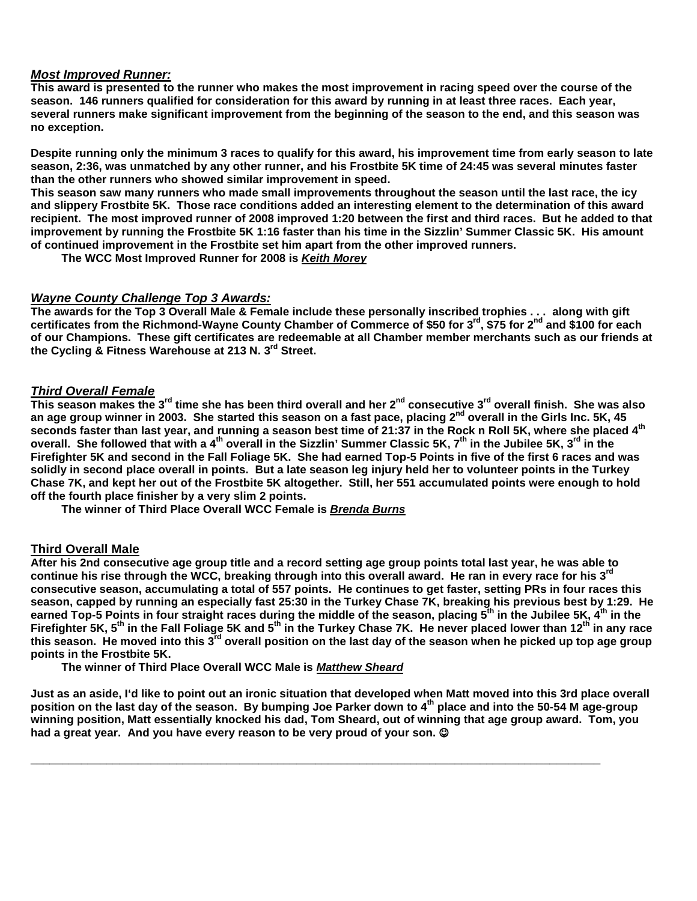# **Most Improved Runner:**

**This award is presented to the runner who makes the most improvement in racing speed over the course of the season. 146 runners qualified for consideration for this award by running in at least three races. Each year, several runners make significant improvement from the beginning of the season to the end, and this season was no exception.** 

**Despite running only the minimum 3 races to qualify for this award, his improvement time from early season to late season, 2:36, was unmatched by any other runner, and his Frostbite 5K time of 24:45 was several minutes faster than the other runners who showed similar improvement in speed.** 

**This season saw many runners who made small improvements throughout the season until the last race, the icy and slippery Frostbite 5K. Those race conditions added an interesting element to the determination of this award recipient. The most improved runner of 2008 improved 1:20 between the first and third races. But he added to that improvement by running the Frostbite 5K 1:16 faster than his time in the Sizzlin' Summer Classic 5K. His amount of continued improvement in the Frostbite set him apart from the other improved runners.** 

 **The WCC Most Improved Runner for 2008 is Keith Morey**

### **Wayne County Challenge Top 3 Awards:**

**The awards for the Top 3 Overall Male & Female include these personally inscribed trophies . . . along with gift certificates from the Richmond-Wayne County Chamber of Commerce of \$50 for 3rd, \$75 for 2nd and \$100 for each of our Champions. These gift certificates are redeemable at all Chamber member merchants such as our friends at the Cycling & Fitness Warehouse at 213 N. 3rd Street.** 

# **Third Overall Female**

**This season makes the 3rd time she has been third overall and her 2nd consecutive 3rd overall finish. She was also an age group winner in 2003. She started this season on a fast pace, placing 2nd overall in the Girls Inc. 5K, 45 seconds faster than last year, and running a season best time of 21:37 in the Rock n Roll 5K, where she placed 4th overall. She followed that with a 4th overall in the Sizzlin' Summer Classic 5K, 7th in the Jubilee 5K, 3rd in the Firefighter 5K and second in the Fall Foliage 5K. She had earned Top-5 Points in five of the first 6 races and was solidly in second place overall in points. But a late season leg injury held her to volunteer points in the Turkey Chase 7K, and kept her out of the Frostbite 5K altogether. Still, her 551 accumulated points were enough to hold off the fourth place finisher by a very slim 2 points.** 

 **The winner of Third Place Overall WCC Female is Brenda Burns**

# **Third Overall Male**

**After his 2nd consecutive age group title and a record setting age group points total last year, he was able to continue his rise through the WCC, breaking through into this overall award. He ran in every race for his 3rd consecutive season, accumulating a total of 557 points. He continues to get faster, setting PRs in four races this season, capped by running an especially fast 25:30 in the Turkey Chase 7K, breaking his previous best by 1:29. He earned Top-5 Points in four straight races during the middle of the season, placing 5th in the Jubilee 5K, 4th in the Firefighter 5K, 5th in the Fall Foliage 5K and 5th in the Turkey Chase 7K. He never placed lower than 12th in any race this season. He moved into this 3rd overall position on the last day of the season when he picked up top age group points in the Frostbite 5K.** 

 **The winner of Third Place Overall WCC Male is Matthew Sheard**

**Just as an aside, I'd like to point out an ironic situation that developed when Matt moved into this 3rd place overall position on the last day of the season. By bumping Joe Parker down to 4th place and into the 50-54 M age-group winning position, Matt essentially knocked his dad, Tom Sheard, out of winning that age group award. Tom, you**  had a great year. And you have every reason to be very proud of your son. ©

**\_\_\_\_\_\_\_\_\_\_\_\_\_\_\_\_\_\_\_\_\_\_\_\_\_\_\_\_\_\_\_\_\_\_\_\_\_\_\_\_\_\_\_\_\_\_\_\_\_\_\_\_\_\_\_\_\_\_\_\_\_\_\_\_\_\_\_\_\_\_\_\_\_\_\_\_\_\_\_\_\_\_\_\_\_\_\_\_\_\_**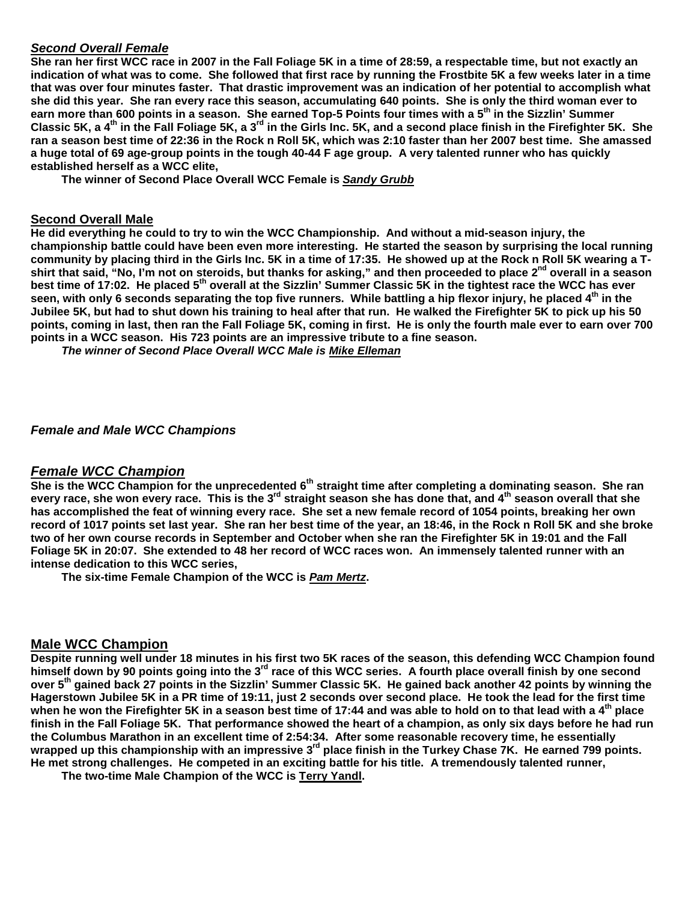# **Second Overall Female**

**She ran her first WCC race in 2007 in the Fall Foliage 5K in a time of 28:59, a respectable time, but not exactly an indication of what was to come. She followed that first race by running the Frostbite 5K a few weeks later in a time that was over four minutes faster. That drastic improvement was an indication of her potential to accomplish what she did this year. She ran every race this season, accumulating 640 points. She is only the third woman ever to earn more than 600 points in a season. She earned Top-5 Points four times with a 5th in the Sizzlin' Summer Classic 5K, a 4th in the Fall Foliage 5K, a 3rd in the Girls Inc. 5K, and a second place finish in the Firefighter 5K. She ran a season best time of 22:36 in the Rock n Roll 5K, which was 2:10 faster than her 2007 best time. She amassed a huge total of 69 age-group points in the tough 40-44 F age group. A very talented runner who has quickly established herself as a WCC elite,** 

 **The winner of Second Place Overall WCC Female is Sandy Grubb**

### **Second Overall Male**

**He did everything he could to try to win the WCC Championship. And without a mid-season injury, the championship battle could have been even more interesting. He started the season by surprising the local running**  community by placing third in the Girls Inc. 5K in a time of 17:35. He showed up at the Rock n Roll 5K wearing a T**shirt that said, "No, I'm not on steroids, but thanks for asking," and then proceeded to place 2nd overall in a season best time of 17:02. He placed 5th overall at the Sizzlin' Summer Classic 5K in the tightest race the WCC has ever seen, with only 6 seconds separating the top five runners. While battling a hip flexor injury, he placed 4th in the Jubilee 5K, but had to shut down his training to heal after that run. He walked the Firefighter 5K to pick up his 50 points, coming in last, then ran the Fall Foliage 5K, coming in first. He is only the fourth male ever to earn over 700 points in a WCC season. His 723 points are an impressive tribute to a fine season.** 

 **The winner of Second Place Overall WCC Male is Mike Elleman**

### **Female and Male WCC Champions**

# **Female WCC Champion**

**She is the WCC Champion for the unprecedented 6th straight time after completing a dominating season. She ran every race, she won every race. This is the 3rd straight season she has done that, and 4th season overall that she has accomplished the feat of winning every race. She set a new female record of 1054 points, breaking her own record of 1017 points set last year. She ran her best time of the year, an 18:46, in the Rock n Roll 5K and she broke two of her own course records in September and October when she ran the Firefighter 5K in 19:01 and the Fall Foliage 5K in 20:07. She extended to 48 her record of WCC races won. An immensely talented runner with an intense dedication to this WCC series,** 

 **The six-time Female Champion of the WCC is Pam Mertz.** 

### **Male WCC Champion**

**Despite running well under 18 minutes in his first two 5K races of the season, this defending WCC Champion found himself down by 90 points going into the 3rd race of this WCC series. A fourth place overall finish by one second over 5th gained back 27 points in the Sizzlin' Summer Classic 5K. He gained back another 42 points by winning the Hagerstown Jubilee 5K in a PR time of 19:11, just 2 seconds over second place. He took the lead for the first time when he won the Firefighter 5K in a season best time of 17:44 and was able to hold on to that lead with a 4th place finish in the Fall Foliage 5K. That performance showed the heart of a champion, as only six days before he had run the Columbus Marathon in an excellent time of 2:54:34. After some reasonable recovery time, he essentially wrapped up this championship with an impressive 3rd place finish in the Turkey Chase 7K. He earned 799 points. He met strong challenges. He competed in an exciting battle for his title. A tremendously talented runner,** 

 **The two-time Male Champion of the WCC is Terry Yandl.**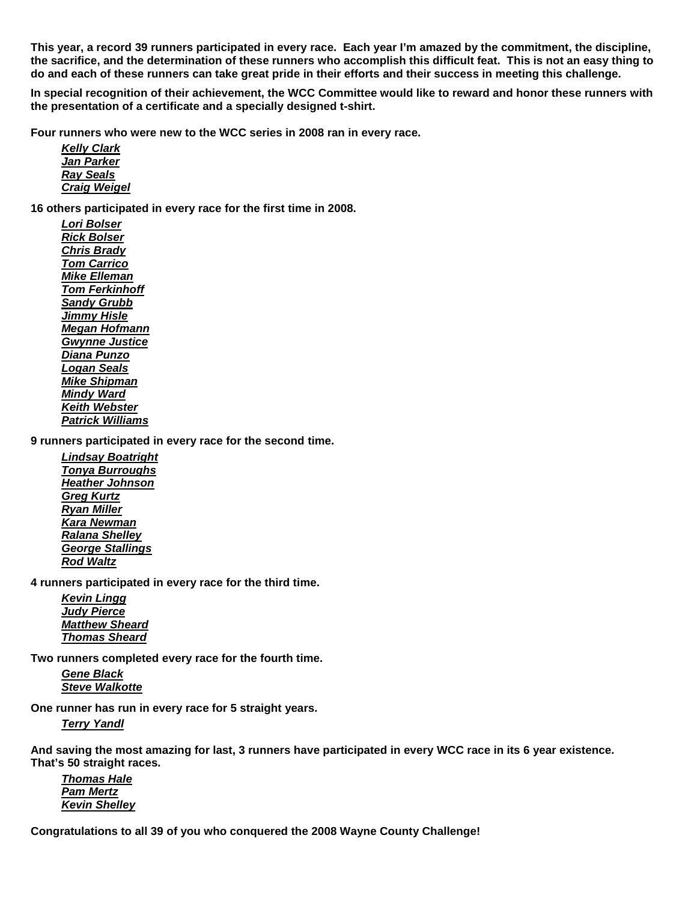**This year, a record 39 runners participated in every race. Each year I'm amazed by the commitment, the discipline, the sacrifice, and the determination of these runners who accomplish this difficult feat. This is not an easy thing to do and each of these runners can take great pride in their efforts and their success in meeting this challenge.** 

**In special recognition of their achievement, the WCC Committee would like to reward and honor these runners with the presentation of a certificate and a specially designed t-shirt.** 

**Four runners who were new to the WCC series in 2008 ran in every race.** 

 **Kelly Clark Jan Parker Ray Seals Craig Weigel**

**16 others participated in every race for the first time in 2008.** 

**Lori Bolser Rick Bolser Chris Brady Tom Carrico Mike Elleman Tom Ferkinhoff Sandy Grubb Jimmy Hisle Megan Hofmann Gwynne Justice Diana Punzo Logan Seals Mike Shipman Mindy Ward Keith Webster Patrick Williams**

**9 runners participated in every race for the second time.** 

**Lindsay Boatright Tonya Burroughs Heather Johnson Greg Kurtz Ryan Miller Kara Newman Ralana Shelley George Stallings Rod Waltz**

**4 runners participated in every race for the third time.** 

**Kevin Lingg Judy Pierce Matthew Sheard Thomas Sheard**

**Two runners completed every race for the fourth time.** 

**Gene Black Steve Walkotte**

**One runner has run in every race for 5 straight years.** 

**Terry Yandl**

**And saving the most amazing for last, 3 runners have participated in every WCC race in its 6 year existence. That's 50 straight races.** 

**Thomas Hale Pam Mertz Kevin Shelley**

**Congratulations to all 39 of you who conquered the 2008 Wayne County Challenge!**